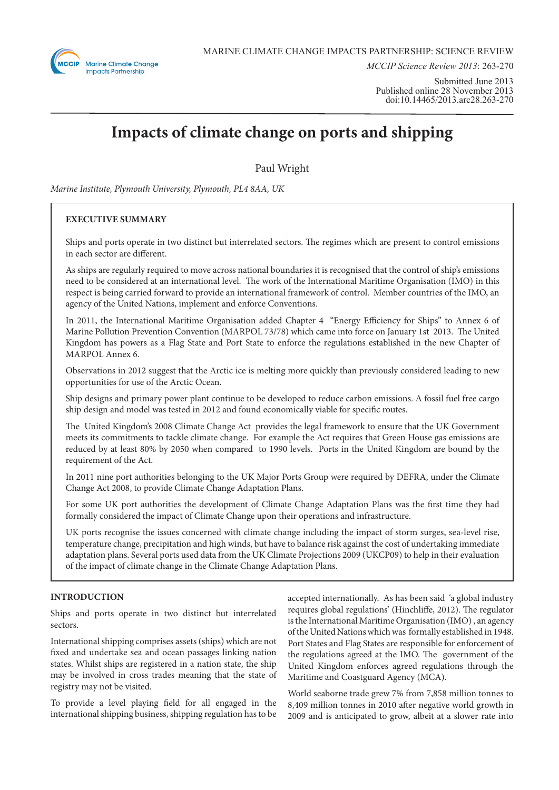

*MCCIP Science Review 2013*: 263-270

Submitted June 2013 Published online 28 November 2013 doi:10.14465/2013.arc28.263-270

# **Impacts of climate change on ports and shipping**

Paul Wright

*Marine Institute, Plymouth University, Plymouth, PL4 8AA, UK*

# **EXECUTIVE SUMMARY**

Ships and ports operate in two distinct but interrelated sectors. The regimes which are present to control emissions in each sector are different.

As ships are regularly required to move across national boundaries it is recognised that the control of ship's emissions need to be considered at an international level. The work of the International Maritime Organisation (IMO) in this respect is being carried forward to provide an international framework of control. Member countries of the IMO, an agency of the United Nations, implement and enforce Conventions.

In 2011, the International Maritime Organisation added Chapter 4 "Energy Efficiency for Ships" to Annex 6 of Marine Pollution Prevention Convention (MARPOL 73/78) which came into force on January 1st 2013. The United Kingdom has powers as a Flag State and Port State to enforce the regulations established in the new Chapter of MARPOL Annex 6.

Observations in 2012 suggest that the Arctic ice is melting more quickly than previously considered leading to new opportunities for use of the Arctic Ocean.

Ship designs and primary power plant continue to be developed to reduce carbon emissions. A fossil fuel free cargo ship design and model was tested in 2012 and found economically viable for specific routes.

The United Kingdom's 2008 Climate Change Act provides the legal framework to ensure that the UK Government meets its commitments to tackle climate change. For example the Act requires that Green House gas emissions are reduced by at least 80% by 2050 when compared to 1990 levels. Ports in the United Kingdom are bound by the requirement of the Act.

In 2011 nine port authorities belonging to the UK Major Ports Group were required by DEFRA, under the Climate Change Act 2008, to provide Climate Change Adaptation Plans.

For some UK port authorities the development of Climate Change Adaptation Plans was the first time they had formally considered the impact of Climate Change upon their operations and infrastructure.

UK ports recognise the issues concerned with climate change including the impact of storm surges, sea-level rise, temperature change, precipitation and high winds, but have to balance risk against the cost of undertaking immediate adaptation plans. Several ports used data from the UK Climate Projections 2009 (UKCP09) to help in their evaluation of the impact of climate change in the Climate Change Adaptation Plans.

### **INTRODUCTION**

Ships and ports operate in two distinct but interrelated sectors.

International shipping comprises assets (ships) which are not fixed and undertake sea and ocean passages linking nation states. Whilst ships are registered in a nation state, the ship may be involved in cross trades meaning that the state of registry may not be visited.

To provide a level playing field for all engaged in the international shipping business, shipping regulation has to be

accepted internationally. As has been said 'a global industry requires global regulations' (Hinchliffe, 2012). The regulator is the International Maritime Organisation (IMO) , an agency of the United Nations which was formally established in 1948. Port States and Flag States are responsible for enforcement of the regulations agreed at the IMO. The government of the United Kingdom enforces agreed regulations through the Maritime and Coastguard Agency (MCA).

World seaborne trade grew 7% from 7,858 million tonnes to 8,409 million tonnes in 2010 after negative world growth in 2009 and is anticipated to grow, albeit at a slower rate into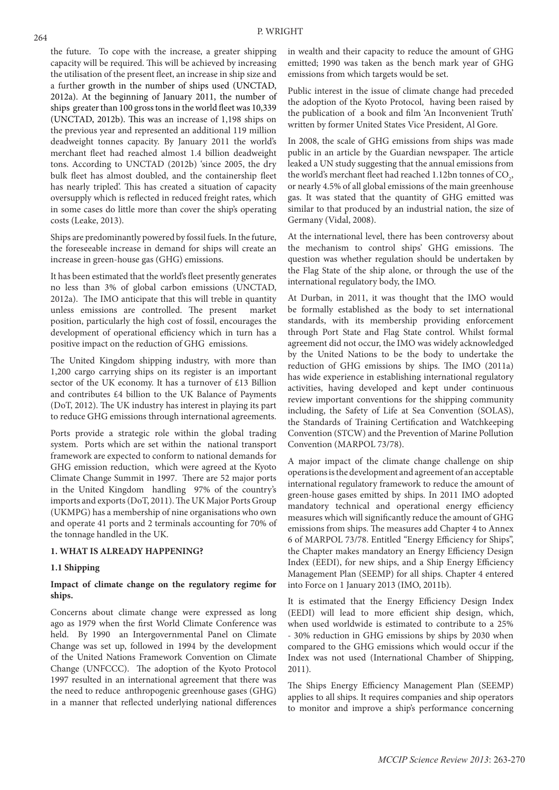the future. To cope with the increase, a greater shipping capacity will be required. This will be achieved by increasing the utilisation of the present fleet, an increase in ship size and a further growth in the number of ships used (UNCTAD, 2012a). At the beginning of January 2011, the number of ships greater than 100 gross tons in the world fleet was 10,339 (UNCTAD, 2012b). This was an increase of 1,198 ships on the previous year and represented an additional 119 million deadweight tonnes capacity. By January 2011 the world's merchant fleet had reached almost 1.4 billion deadweight tons. According to UNCTAD (2012b) 'since 2005, the dry bulk fleet has almost doubled, and the containership fleet has nearly tripled'. This has created a situation of capacity oversupply which is reflected in reduced freight rates, which in some cases do little more than cover the ship's operating costs (Leake, 2013).

Ships are predominantly powered by fossil fuels. In the future, the foreseeable increase in demand for ships will create an increase in green-house gas (GHG) emissions.

It has been estimated that the world's fleet presently generates no less than 3% of global carbon emissions (UNCTAD, 2012a). The IMO anticipate that this will treble in quantity unless emissions are controlled. The present market position, particularly the high cost of fossil, encourages the development of operational efficiency which in turn has a positive impact on the reduction of GHG emissions.

The United Kingdom shipping industry, with more than 1,200 cargo carrying ships on its register is an important sector of the UK economy. It has a turnover of £13 Billion and contributes £4 billion to the UK Balance of Payments (DoT, 2012). The UK industry has interest in playing its part to reduce GHG emissions through international agreements.

Ports provide a strategic role within the global trading system. Ports which are set within the national transport framework are expected to conform to national demands for GHG emission reduction, which were agreed at the Kyoto Climate Change Summit in 1997. There are 52 major ports in the United Kingdom handling 97% of the country's imports and exports (DoT, 2011). The UK Major Ports Group (UKMPG) has a membership of nine organisations who own and operate 41 ports and 2 terminals accounting for 70% of the tonnage handled in the UK.

## **1. WHAT IS ALREADY HAPPENING?**

## **1.1 Shipping**

# **Impact of climate change on the regulatory regime for ships.**

Concerns about climate change were expressed as long ago as 1979 when the first World Climate Conference was held. By 1990 an Intergovernmental Panel on Climate Change was set up, followed in 1994 by the development of the United Nations Framework Convention on Climate Change (UNFCCC). The adoption of the Kyoto Protocol 1997 resulted in an international agreement that there was the need to reduce anthropogenic greenhouse gases (GHG) in a manner that reflected underlying national differences

in wealth and their capacity to reduce the amount of GHG emitted; 1990 was taken as the bench mark year of GHG emissions from which targets would be set.

Public interest in the issue of climate change had preceded the adoption of the Kyoto Protocol, having been raised by the publication of a book and film 'An Inconvenient Truth' written by former United States Vice President, Al Gore.

In 2008, the scale of GHG emissions from ships was made public in an article by the Guardian newspaper. The article leaked a UN study suggesting that the annual emissions from the world's merchant fleet had reached 1.12bn tonnes of  $\mathrm{CO}_2$ , or nearly 4.5% of all global emissions of the main greenhouse gas. It was stated that the quantity of GHG emitted was similar to that produced by an industrial nation, the size of Germany (Vidal, 2008).

At the international level, there has been controversy about the mechanism to control ships' GHG emissions. The question was whether regulation should be undertaken by the Flag State of the ship alone, or through the use of the international regulatory body, the IMO.

At Durban, in 2011, it was thought that the IMO would be formally established as the body to set international standards, with its membership providing enforcement through Port State and Flag State control. Whilst formal agreement did not occur, the IMO was widely acknowledged by the United Nations to be the body to undertake the reduction of GHG emissions by ships. The IMO (2011a) has wide experience in establishing international regulatory activities, having developed and kept under continuous review important conventions for the shipping community including, the Safety of Life at Sea Convention (SOLAS), the Standards of Training Certification and Watchkeeping Convention (STCW) and the Prevention of Marine Pollution Convention (MARPOL 73/78).

A major impact of the climate change challenge on ship operations is the development and agreement of an acceptable international regulatory framework to reduce the amount of green-house gases emitted by ships. In 2011 IMO adopted mandatory technical and operational energy efficiency measures which will significantly reduce the amount of GHG emissions from ships. The measures add Chapter 4 to Annex 6 of MARPOL 73/78. Entitled "Energy Efficiency for Ships", the Chapter makes mandatory an Energy Efficiency Design Index (EEDI), for new ships, and a Ship Energy Efficiency Management Plan (SEEMP) for all ships. Chapter 4 entered into Force on 1 January 2013 (IMO, 2011b).

It is estimated that the Energy Efficiency Design Index (EEDI) will lead to more efficient ship design, which, when used worldwide is estimated to contribute to a 25% - 30% reduction in GHG emissions by ships by 2030 when compared to the GHG emissions which would occur if the Index was not used (International Chamber of Shipping, 2011).

The Ships Energy Efficiency Management Plan (SEEMP) applies to all ships. It requires companies and ship operators to monitor and improve a ship's performance concerning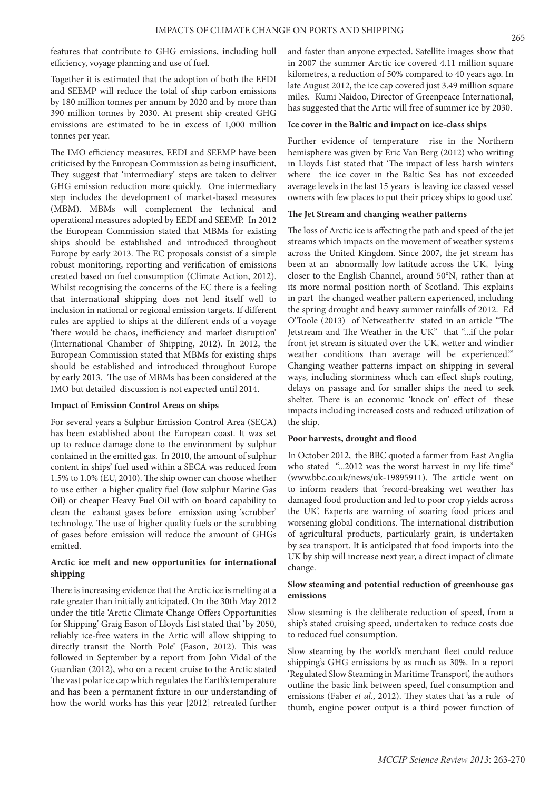features that contribute to GHG emissions, including hull efficiency, voyage planning and use of fuel.

Together it is estimated that the adoption of both the EEDI and SEEMP will reduce the total of ship carbon emissions by 180 million tonnes per annum by 2020 and by more than 390 million tonnes by 2030. At present ship created GHG emissions are estimated to be in excess of 1,000 million tonnes per year.

The IMO efficiency measures, EEDI and SEEMP have been criticised by the European Commission as being insufficient, They suggest that 'intermediary' steps are taken to deliver GHG emission reduction more quickly. One intermediary step includes the development of market-based measures (MBM). MBMs will complement the technical and operational measures adopted by EEDI and SEEMP. In 2012 the European Commission stated that MBMs for existing ships should be established and introduced throughout Europe by early 2013. The EC proposals consist of a simple robust monitoring, reporting and verification of emissions created based on fuel consumption (Climate Action, 2012). Whilst recognising the concerns of the EC there is a feeling that international shipping does not lend itself well to inclusion in national or regional emission targets. If different rules are applied to ships at the different ends of a voyage 'there would be chaos, inefficiency and market disruption' (International Chamber of Shipping, 2012). In 2012, the European Commission stated that MBMs for existing ships should be established and introduced throughout Europe by early 2013. The use of MBMs has been considered at the IMO but detailed discussion is not expected until 2014.

#### **Impact of Emission Control Areas on ships**

For several years a Sulphur Emission Control Area (SECA) has been established about the European coast. It was set up to reduce damage done to the environment by sulphur contained in the emitted gas. In 2010, the amount of sulphur content in ships' fuel used within a SECA was reduced from 1.5% to 1.0% (EU, 2010). The ship owner can choose whether to use either a higher quality fuel (low sulphur Marine Gas Oil) or cheaper Heavy Fuel Oil with on board capability to clean the exhaust gases before emission using 'scrubber' technology. The use of higher quality fuels or the scrubbing of gases before emission will reduce the amount of GHGs emitted.

# **Arctic ice melt and new opportunities for international shipping**

There is increasing evidence that the Arctic ice is melting at a rate greater than initially anticipated. On the 30th May 2012 under the title 'Arctic Climate Change Offers Opportunities for Shipping' Graig Eason of Lloyds List stated that 'by 2050, reliably ice-free waters in the Artic will allow shipping to directly transit the North Pole' (Eason, 2012). This was followed in September by a report from John Vidal of the Guardian (2012), who on a recent cruise to the Arctic stated 'the vast polar ice cap which regulates the Earth's temperature and has been a permanent fixture in our understanding of how the world works has this year [2012] retreated further and faster than anyone expected. Satellite images show that in 2007 the summer Arctic ice covered 4.11 million square kilometres, a reduction of 50% compared to 40 years ago. In late August 2012, the ice cap covered just 3.49 million square miles. Kumi Naidoo, Director of Greenpeace International, has suggested that the Artic will free of summer ice by 2030.

## **Ice cover in the Baltic and impact on ice-class ships**

Further evidence of temperature rise in the Northern hemisphere was given by Eric Van Berg (2012) who writing in Lloyds List stated that 'The impact of less harsh winters where the ice cover in the Baltic Sea has not exceeded average levels in the last 15 years is leaving ice classed vessel owners with few places to put their pricey ships to good use'.

#### **The Jet Stream and changing weather patterns**

The loss of Arctic ice is affecting the path and speed of the jet streams which impacts on the movement of weather systems across the United Kingdom. Since 2007, the jet stream has been at an abnormally low latitude across the UK, lying closer to the English Channel, around 50°N, rather than at its more normal position north of Scotland. This explains in part the changed weather pattern experienced, including the spring drought and heavy summer rainfalls of 2012. Ed O'Toole (2013) of Netweather.tv stated in an article "The Jetstream and The Weather in the UK" that "...if the polar front jet stream is situated over the UK, wetter and windier weather conditions than average will be experienced.'" Changing weather patterns impact on shipping in several ways, including storminess which can effect ship's routing, delays on passage and for smaller ships the need to seek shelter. There is an economic 'knock on' effect of these impacts including increased costs and reduced utilization of the ship.

## **Poor harvests, drought and flood**

In October 2012, the BBC quoted a farmer from East Anglia who stated "...2012 was the worst harvest in my life time" (www.bbc.co.uk/news/uk-19895911). The article went on to inform readers that 'record-breaking wet weather has damaged food production and led to poor crop yields across the UK'. Experts are warning of soaring food prices and worsening global conditions. The international distribution of agricultural products, particularly grain, is undertaken by sea transport. It is anticipated that food imports into the UK by ship will increase next year, a direct impact of climate change.

## **Slow steaming and potential reduction of greenhouse gas emissions**

Slow steaming is the deliberate reduction of speed, from a ship's stated cruising speed, undertaken to reduce costs due to reduced fuel consumption.

Slow steaming by the world's merchant fleet could reduce shipping's GHG emissions by as much as 30%. In a report 'Regulated Slow Steaming in Maritime Transport', the authors outline the basic link between speed, fuel consumption and emissions (Faber *et al*., 2012). They states that 'as a rule of thumb, engine power output is a third power function of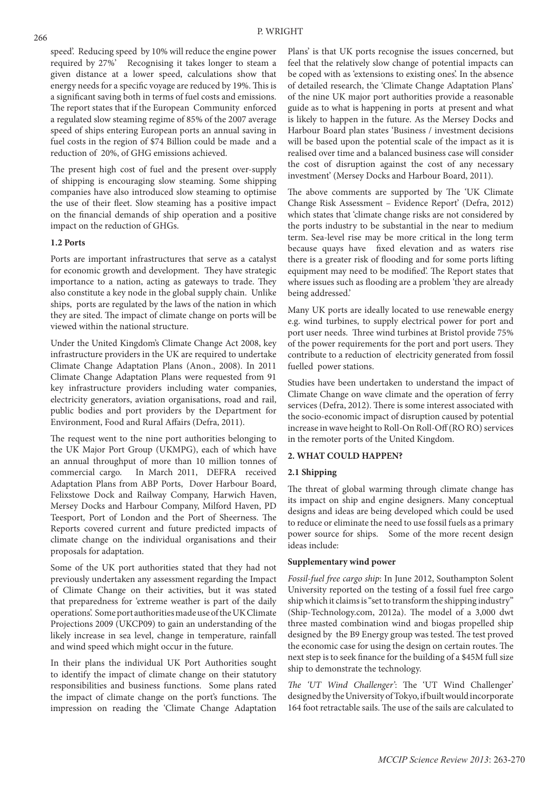speed'. Reducing speed by 10% will reduce the engine power required by 27%' Recognising it takes longer to steam a given distance at a lower speed, calculations show that energy needs for a specific voyage are reduced by 19%. This is a significant saving both in terms of fuel costs and emissions. The report states that if the European Community enforced a regulated slow steaming regime of 85% of the 2007 average speed of ships entering European ports an annual saving in fuel costs in the region of \$74 Billion could be made and a reduction of 20%, of GHG emissions achieved.

The present high cost of fuel and the present over-supply of shipping is encouraging slow steaming. Some shipping companies have also introduced slow steaming to optimise the use of their fleet. Slow steaming has a positive impact on the financial demands of ship operation and a positive impact on the reduction of GHGs.

# **1.2 Ports**

Ports are important infrastructures that serve as a catalyst for economic growth and development. They have strategic importance to a nation, acting as gateways to trade. They also constitute a key node in the global supply chain. Unlike ships, ports are regulated by the laws of the nation in which they are sited. The impact of climate change on ports will be viewed within the national structure.

Under the United Kingdom's Climate Change Act 2008, key infrastructure providers in the UK are required to undertake Climate Change Adaptation Plans (Anon., 2008). In 2011 Climate Change Adaptation Plans were requested from 91 key infrastructure providers including water companies, electricity generators, aviation organisations, road and rail, public bodies and port providers by the Department for Environment, Food and Rural Affairs (Defra, 2011).

The request went to the nine port authorities belonging to the UK Major Port Group (UKMPG), each of which have an annual throughput of more than 10 million tonnes of commercial cargo. In March 2011, DEFRA received Adaptation Plans from ABP Ports, Dover Harbour Board, Felixstowe Dock and Railway Company, Harwich Haven, Mersey Docks and Harbour Company, Milford Haven, PD Teesport, Port of London and the Port of Sheerness. The Reports covered current and future predicted impacts of climate change on the individual organisations and their proposals for adaptation.

Some of the UK port authorities stated that they had not previously undertaken any assessment regarding the Impact of Climate Change on their activities, but it was stated that preparedness for 'extreme weather is part of the daily operations'. Some port authorities made use of the UK Climate Projections 2009 (UKCP09) to gain an understanding of the likely increase in sea level, change in temperature, rainfall and wind speed which might occur in the future.

In their plans the individual UK Port Authorities sought to identify the impact of climate change on their statutory responsibilities and business functions. Some plans rated the impact of climate change on the port's functions. The impression on reading the 'Climate Change Adaptation

Plans' is that UK ports recognise the issues concerned, but feel that the relatively slow change of potential impacts can be coped with as 'extensions to existing ones'. In the absence of detailed research, the 'Climate Change Adaptation Plans' of the nine UK major port authorities provide a reasonable guide as to what is happening in ports at present and what is likely to happen in the future. As the Mersey Docks and Harbour Board plan states 'Business / investment decisions will be based upon the potential scale of the impact as it is realised over time and a balanced business case will consider the cost of disruption against the cost of any necessary investment' (Mersey Docks and Harbour Board, 2011).

The above comments are supported by The 'UK Climate Change Risk Assessment – Evidence Report' (Defra, 2012) which states that 'climate change risks are not considered by the ports industry to be substantial in the near to medium term. Sea-level rise may be more critical in the long term because quays have fixed elevation and as waters rise there is a greater risk of flooding and for some ports lifting equipment may need to be modified'. The Report states that where issues such as flooding are a problem 'they are already being addressed.'

Many UK ports are ideally located to use renewable energy e.g. wind turbines, to supply electrical power for port and port user needs. Three wind turbines at Bristol provide 75% of the power requirements for the port and port users. They contribute to a reduction of electricity generated from fossil fuelled power stations.

Studies have been undertaken to understand the impact of Climate Change on wave climate and the operation of ferry services (Defra, 2012). There is some interest associated with the socio-economic impact of disruption caused by potential increase in wave height to Roll-On Roll-Off (RO RO) services in the remoter ports of the United Kingdom.

# **2. WHAT COULD HAPPEN?**

### **2.1 Shipping**

The threat of global warming through climate change has its impact on ship and engine designers. Many conceptual designs and ideas are being developed which could be used to reduce or eliminate the need to use fossil fuels as a primary power source for ships. Some of the more recent design ideas include:

## **Supplementary wind power**

*Fossil-fuel free cargo ship*: In June 2012, Southampton Solent University reported on the testing of a fossil fuel free cargo ship which it claims is "set to transform the shipping industry" (Ship-Technology.com, 2012a). The model of a 3,000 dwt three masted combination wind and biogas propelled ship designed by the B9 Energy group was tested. The test proved the economic case for using the design on certain routes. The next step is to seek finance for the building of a \$45M full size ship to demonstrate the technology.

*The 'UT Wind Challenger'*: The 'UT Wind Challenger' designed by the University of Tokyo, if built would incorporate 164 foot retractable sails. The use of the sails are calculated to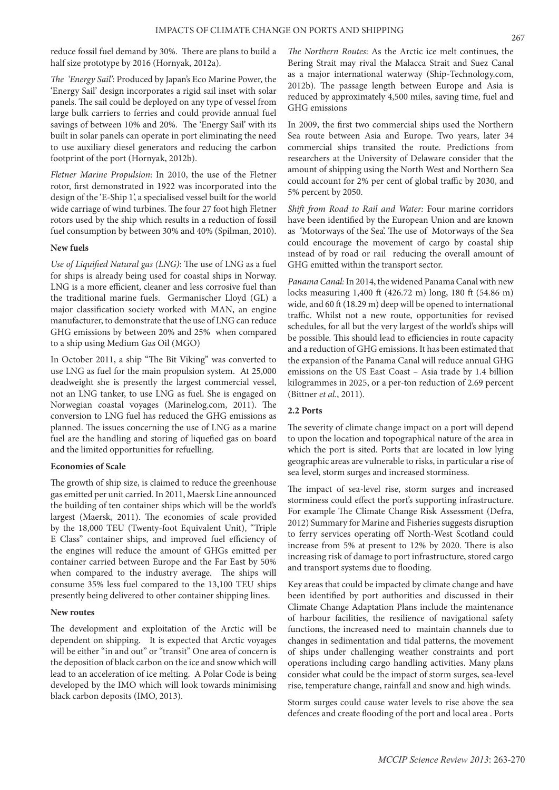reduce fossil fuel demand by 30%. There are plans to build a half size prototype by 2016 (Hornyak, 2012a).

*The 'Energy Sail'*: Produced by Japan's Eco Marine Power, the 'Energy Sail' design incorporates a rigid sail inset with solar panels. The sail could be deployed on any type of vessel from large bulk carriers to ferries and could provide annual fuel savings of between 10% and 20%. The 'Energy Sail' with its built in solar panels can operate in port eliminating the need to use auxiliary diesel generators and reducing the carbon footprint of the port (Hornyak, 2012b).

*Fletner Marine Propulsion*: In 2010, the use of the Fletner rotor, first demonstrated in 1922 was incorporated into the design of the 'E-Ship 1', a specialised vessel built for the world wide carriage of wind turbines. The four 27 foot high Fletner rotors used by the ship which results in a reduction of fossil fuel consumption by between 30% and 40% (Spilman, 2010).

#### **New fuels**

*Use of Liquified Natural gas (LNG)*: The use of LNG as a fuel for ships is already being used for coastal ships in Norway. LNG is a more efficient, cleaner and less corrosive fuel than the traditional marine fuels. Germanischer Lloyd (GL) a major classification society worked with MAN, an engine manufacturer, to demonstrate that the use of LNG can reduce GHG emissions by between 20% and 25% when compared to a ship using Medium Gas Oil (MGO)

In October 2011, a ship "The Bit Viking" was converted to use LNG as fuel for the main propulsion system. At 25,000 deadweight she is presently the largest commercial vessel, not an LNG tanker, to use LNG as fuel. She is engaged on Norwegian coastal voyages (Marinelog.com, 2011). The conversion to LNG fuel has reduced the GHG emissions as planned. The issues concerning the use of LNG as a marine fuel are the handling and storing of liquefied gas on board and the limited opportunities for refuelling.

## **Economies of Scale**

The growth of ship size, is claimed to reduce the greenhouse gas emitted per unit carried. In 2011, Maersk Line announced the building of ten container ships which will be the world's largest (Maersk, 2011). The economies of scale provided by the 18,000 TEU (Twenty-foot Equivalent Unit), "Triple E Class" container ships, and improved fuel efficiency of the engines will reduce the amount of GHGs emitted per container carried between Europe and the Far East by 50% when compared to the industry average. The ships will consume 35% less fuel compared to the 13,100 TEU ships presently being delivered to other container shipping lines.

#### **New routes**

The development and exploitation of the Arctic will be dependent on shipping. It is expected that Arctic voyages will be either "in and out" or "transit" One area of concern is the deposition of black carbon on the ice and snow which will lead to an acceleration of ice melting. A Polar Code is being developed by the IMO which will look towards minimising black carbon deposits (IMO, 2013).

*The Northern Routes*: As the Arctic ice melt continues, the Bering Strait may rival the Malacca Strait and Suez Canal as a major international waterway (Ship-Technology.com, 2012b). The passage length between Europe and Asia is reduced by approximately 4,500 miles, saving time, fuel and GHG emissions

In 2009, the first two commercial ships used the Northern Sea route between Asia and Europe. Two years, later 34 commercial ships transited the route. Predictions from researchers at the University of Delaware consider that the amount of shipping using the North West and Northern Sea could account for 2% per cent of global traffic by 2030, and 5% percent by 2050.

*Shift from Road to Rail and Water:* Four marine corridors have been identified by the European Union and are known as 'Motorways of the Sea'. The use of Motorways of the Sea could encourage the movement of cargo by coastal ship instead of by road or rail reducing the overall amount of GHG emitted within the transport sector.

*Panama Canal:* In 2014, the widened Panama Canal with new locks measuring 1,400 ft (426.72 m) long, 180 ft (54.86 m) wide, and 60 ft (18.29 m) deep will be opened to international traffic. Whilst not a new route, opportunities for revised schedules, for all but the very largest of the world's ships will be possible. This should lead to efficiencies in route capacity and a reduction of GHG emissions. It has been estimated that the expansion of the Panama Canal will reduce annual GHG emissions on the US East Coast – Asia trade by 1.4 billion kilogrammes in 2025, or a per-ton reduction of 2.69 percent (Bittner *et al.*, 2011).

## **2.2 Ports**

The severity of climate change impact on a port will depend to upon the location and topographical nature of the area in which the port is sited. Ports that are located in low lying geographic areas are vulnerable to risks, in particular a rise of sea level, storm surges and increased storminess.

The impact of sea-level rise, storm surges and increased storminess could effect the port's supporting infrastructure. For example The Climate Change Risk Assessment (Defra, 2012) Summary for Marine and Fisheries suggests disruption to ferry services operating off North-West Scotland could increase from 5% at present to 12% by 2020. There is also increasing risk of damage to port infrastructure, stored cargo and transport systems due to flooding.

Key areas that could be impacted by climate change and have been identified by port authorities and discussed in their Climate Change Adaptation Plans include the maintenance of harbour facilities, the resilience of navigational safety functions, the increased need to maintain channels due to changes in sedimentation and tidal patterns, the movement of ships under challenging weather constraints and port operations including cargo handling activities. Many plans consider what could be the impact of storm surges, sea-level rise, temperature change, rainfall and snow and high winds.

Storm surges could cause water levels to rise above the sea defences and create flooding of the port and local area . Ports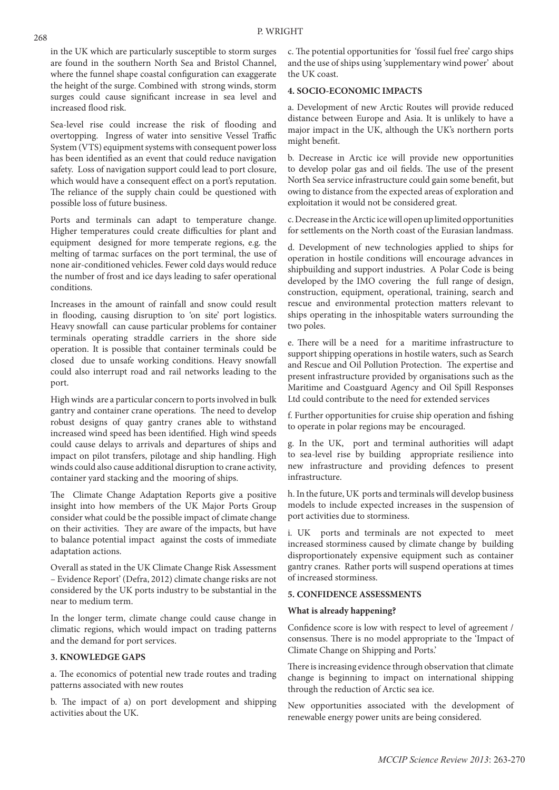in the UK which are particularly susceptible to storm surges are found in the southern North Sea and Bristol Channel, where the funnel shape coastal configuration can exaggerate the height of the surge. Combined with strong winds, storm surges could cause significant increase in sea level and increased flood risk.

Sea-level rise could increase the risk of flooding and overtopping. Ingress of water into sensitive Vessel Traffic System (VTS) equipment systems with consequent power loss has been identified as an event that could reduce navigation safety. Loss of navigation support could lead to port closure, which would have a consequent effect on a port's reputation. The reliance of the supply chain could be questioned with possible loss of future business.

Ports and terminals can adapt to temperature change. Higher temperatures could create difficulties for plant and equipment designed for more temperate regions, e.g. the melting of tarmac surfaces on the port terminal, the use of none air-conditioned vehicles. Fewer cold days would reduce the number of frost and ice days leading to safer operational conditions.

Increases in the amount of rainfall and snow could result in flooding, causing disruption to 'on site' port logistics. Heavy snowfall can cause particular problems for container terminals operating straddle carriers in the shore side operation. It is possible that container terminals could be closed due to unsafe working conditions. Heavy snowfall could also interrupt road and rail networks leading to the port.

High winds are a particular concern to ports involved in bulk gantry and container crane operations. The need to develop robust designs of quay gantry cranes able to withstand increased wind speed has been identified. High wind speeds could cause delays to arrivals and departures of ships and impact on pilot transfers, pilotage and ship handling. High winds could also cause additional disruption to crane activity, container yard stacking and the mooring of ships.

The Climate Change Adaptation Reports give a positive insight into how members of the UK Major Ports Group consider what could be the possible impact of climate change on their activities. They are aware of the impacts, but have to balance potential impact against the costs of immediate adaptation actions.

Overall as stated in the UK Climate Change Risk Assessment – Evidence Report' (Defra, 2012) climate change risks are not considered by the UK ports industry to be substantial in the near to medium term.

In the longer term, climate change could cause change in climatic regions, which would impact on trading patterns and the demand for port services.

### **3. KNOWLEDGE GAPS**

a. The economics of potential new trade routes and trading patterns associated with new routes

b. The impact of a) on port development and shipping activities about the UK.

c. The potential opportunities for 'fossil fuel free' cargo ships and the use of ships using 'supplementary wind power' about the UK coast.

# **4. SOCIO-ECONOMIC IMPACTS**

a. Development of new Arctic Routes will provide reduced distance between Europe and Asia. It is unlikely to have a major impact in the UK, although the UK's northern ports might benefit.

b. Decrease in Arctic ice will provide new opportunities to develop polar gas and oil fields. The use of the present North Sea service infrastructure could gain some benefit, but owing to distance from the expected areas of exploration and exploitation it would not be considered great.

c. Decrease in the Arctic ice will open up limited opportunities for settlements on the North coast of the Eurasian landmass.

d. Development of new technologies applied to ships for operation in hostile conditions will encourage advances in shipbuilding and support industries. A Polar Code is being developed by the IMO covering the full range of design, construction, equipment, operational, training, search and rescue and environmental protection matters relevant to ships operating in the inhospitable waters surrounding the two poles.

e. There will be a need for a maritime infrastructure to support shipping operations in hostile waters, such as Search and Rescue and Oil Pollution Protection. The expertise and present infrastructure provided by organisations such as the Maritime and Coastguard Agency and Oil Spill Responses Ltd could contribute to the need for extended services

f. Further opportunities for cruise ship operation and fishing to operate in polar regions may be encouraged.

g. In the UK, port and terminal authorities will adapt to sea-level rise by building appropriate resilience into new infrastructure and providing defences to present infrastructure.

h. In the future, UK ports and terminals will develop business models to include expected increases in the suspension of port activities due to storminess.

i. UK ports and terminals are not expected to meet increased storminess caused by climate change by building disproportionately expensive equipment such as container gantry cranes. Rather ports will suspend operations at times of increased storminess.

# **5. CONFIDENCE ASSESSMENTS**

#### **What is already happening?**

Confidence score is low with respect to level of agreement / consensus. There is no model appropriate to the 'Impact of Climate Change on Shipping and Ports.'

There is increasing evidence through observation that climate change is beginning to impact on international shipping through the reduction of Arctic sea ice.

New opportunities associated with the development of renewable energy power units are being considered.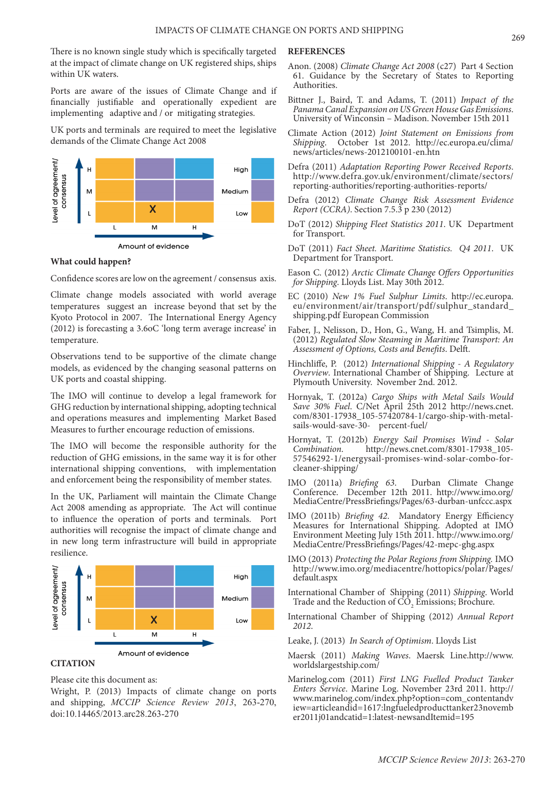There is no known single study which is specifically targeted at the impact of climate change on UK registered ships, ships within UK waters.

Ports are aware of the issues of Climate Change and if financially justifiable and operationally expedient are implementing adaptive and / or mitigating strategies.

UK ports and terminals are required to meet the legislative demands of the Climate Change Act 2008



#### **What could happen?**

Confidence scores are low on the agreement / consensus axis.

Climate change models associated with world average temperatures suggest an increase beyond that set by the Kyoto Protocol in 2007. The International Energy Agency (2012) is forecasting a 3.6oC 'long term average increase' in temperature.

Observations tend to be supportive of the climate change models, as evidenced by the changing seasonal patterns on UK ports and coastal shipping.

The IMO will continue to develop a legal framework for GHG reduction by international shipping, adopting technical and operations measures and implementing Market Based Measures to further encourage reduction of emissions.

The IMO will become the responsible authority for the reduction of GHG emissions, in the same way it is for other international shipping conventions, with implementation and enforcement being the responsibility of member states.

In the UK, Parliament will maintain the Climate Change Act 2008 amending as appropriate. The Act will continue to influence the operation of ports and terminals. Port authorities will recognise the impact of climate change and in new long term infrastructure will build in appropriate resilience.



# **CITATION**

Please cite this document as:

Wright, P. (2013) Impacts of climate change on ports and shipping, *MCCIP Science Review 2013*, 263-270, doi:10.14465/2013.arc28.263-270

#### **REFERENCES**

- Anon. (2008) *Climate Change Act 2008* (c27) Part 4 Section 61. Guidance by the Secretary of States to Reporting Authorities.
- Bittner J., Baird, T. and Adams, T. (2011) *Impact of the Panama Canal Expansion on US Green House Gas Emissions*. University of Winconsin – Madison. November 15th 2011
- Climate Action (2012) *Joint Statement on Emissions from Shipping*. October 1st 2012. http://ec.europa.eu/clima/ news/articles/news-2012100101-en.htn
- Defra (2011) *Adaptation Reporting Power Received Reports*. http://www.defra.gov.uk/environment/climate/sectors/ reporting-authorities/reporting-authorities-reports/
- Defra (2012) *Climate Change Risk Assessment Evidence Report (CCRA)*. Section 7.5.3 p 230 (2012)
- DoT (2012) *Shipping Fleet Statistics 2011*. UK Department for Transport.
- DoT (2011) *Fact Sheet. Maritime Statistics. Q4 2011*. UK Department for Transport.
- Eason C. (2012) *Arctic Climate Change Offers Opportunities for Shipping*. Lloyds List. May 30th 2012.
- EC (2010) *New 1% Fuel Sulphur Limits*. http://ec.europa. eu/environment/air/transport/pdf/sulphur\_standard\_ shipping.pdf European Commission
- Faber, J., Nelisson, D., Hon, G., Wang, H. and Tsimplis, M. (2012) *Regulated Slow Steaming in Maritime Transport: An Assessment of Options, Costs and Benefits*. Delft.
- Hinchliffe, P. (2012) *International Shipping A Regulatory Overview*. International Chamber of Shipping. Lecture at Plymouth University. November 2nd. 2012.
- Hornyak, T. (2012a) *Cargo Ships with Metal Sails Would Save 30% Fuel*. C/Net April 25th 2012 http://news.cnet. com/8301-17938\_105-57420784-1/cargo-ship-with-metalsails-would-save-30- percent-fuel/
- Hornyat, T. (2012b) *Energy Sail Promises Wind Solar Combination*. http://news.cnet.com/8301-17938\_105- 57546292-1/energysail-promises-wind-solar-combo-forcleaner-shipping/
- IMO (2011a) *Briefing 63*. Durban Climate Change Conference. December 12th 2011. http://www.imo.org/ MediaCentre/PressBriefings/Pages/63-durban-unfccc.aspx
- IMO (2011b) *Briefing 42*. Mandatory Energy Efficiency Measures for International Shipping. Adopted at IMO Environment Meeting July 15th 2011. http://www.imo.org/ MediaCentre/PressBriefings/Pages/42-mepc-ghg.aspx
- IMO (2013) *Protecting the Polar Regions from Shipping.* IMO http://www.imo.org/mediacentre/hottopics/polar/Pages/ default.aspx
- International Chamber of Shipping (2011) *Shipping*. World Trade and the Reduction of  $\mathrm{CO}_2$  Emissions; Brochure.
- International Chamber of Shipping (2012) *Annual Report 2012*.
- Leake, J. (2013) *In Search of Optimism*. Lloyds List
- Maersk (2011) *Making Waves*. Maersk Line.http://www. worldslargestship.com/
- Marinelog.com (2011) *First LNG Fuelled Product Tanker Enters Service*. Marine Log. November 23rd 2011. http:// www.marinelog.com/index.php?option=com\_contentandv iew=articleandid=1617:lngfueledproducttanker23novemb er2011j01andcatid=1:latest-newsandItemid=195